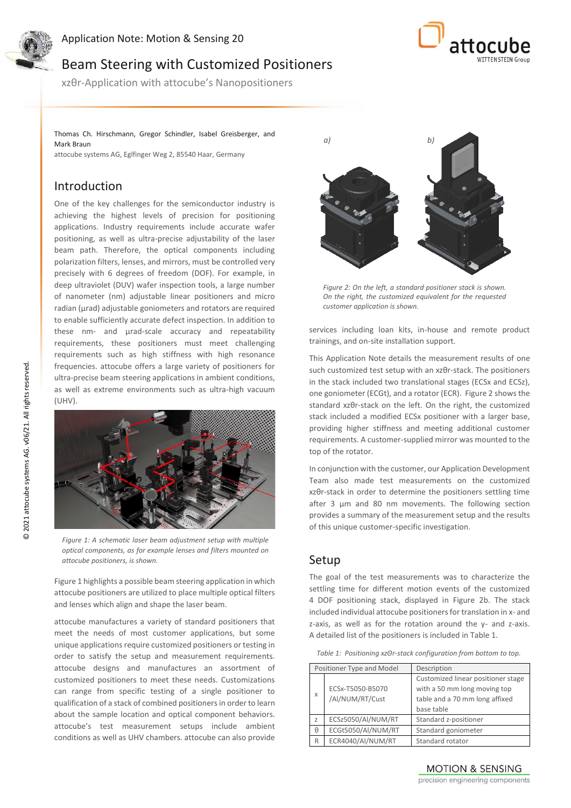

Application Note: Motion & Sensing 20

# Beam Steering with Customized Positioners

xzθr-Application with attocube's Nanopositioners

Thomas Ch. Hirschmann, Gregor Schindler, Isabel Greisberger, and Mark Braun

attocube systems AG, Eglfinger Weg 2, 85540 Haar, Germany

### Introduction

One of the key challenges for the semiconductor industry is achieving the highest levels of precision for positioning applications. Industry requirements include accurate wafer positioning, as well as ultra-precise adjustability of the laser beam path. Therefore, the optical components including polarization filters, lenses, and mirrors, must be controlled very precisely with 6 degrees of freedom (DOF). For example, in deep ultraviolet (DUV) wafer inspection tools, a large number of nanometer (nm) adjustable linear positioners and micro radian (µrad) adjustable goniometers and rotators are required to enable sufficiently accurate defect inspection. In addition to these nm- and µrad-scale accuracy and repeatability requirements, these positioners must meet challenging requirements such as high stiffness with high resonance frequencies. attocube offers a large variety of positioners for ultra-precise beam steering applications in ambient conditions, as well as extreme environments such as ultra-high vacuum (UHV).



*Figure 1: A schematic laser beam adjustment setup with multiple optical components, as for example lenses and filters mounted on attocube positioners, is shown.* 

Figure 1 highlights a possible beam steering application in which attocube positioners are utilized to place multiple optical filters and lenses which align and shape the laser beam.

attocube manufactures a variety of standard positioners that meet the needs of most customer applications, but some unique applications require customized positioners or testing in order to satisfy the setup and measurement requirements. attocube designs and manufactures an assortment of customized positioners to meet these needs. Customizations can range from specific testing of a single positioner to qualification of a stack of combined positioners in order to learn about the sample location and optical component behaviors. attocube's test measurement setups include ambient conditions as well as UHV chambers. attocube can also provide



*Figure 2: On the left, a standard positioner stack is shown. On the right, the customized equivalent for the requested customer application is shown.*

services including loan kits, in-house and remote product trainings, and on-site installation support.

This Application Note details the measurement results of one such customized test setup with an xzθr-stack. The positioners in the stack included two translational stages (ECSx and ECSz), one goniometer (ECGt), and a rotator (ECR). Figure 2 shows the standard xzθr-stack on the left. On the right, the customized stack included a modified ECSx positioner with a larger base, providing higher stiffness and meeting additional customer requirements. A customer-supplied mirror was mounted to the top of the rotator.

In conjunction with the customer, our Application Development Team also made test measurements on the customized xzθr-stack in order to determine the positioners settling time after 3 µm and 80 nm movements. The following section provides a summary of the measurement setup and the results of this unique customer-specific investigation.

#### Setup

The goal of the test measurements was to characterize the settling time for different motion events of the customized 4 DOF positioning stack, displayed in Figure 2b. The stack included individual attocube positioners for translation in x- and z-axis, as well as for the rotation around the y- and z-axis. A detailed list of the positioners is included in Table 1.

*Table 1: Positioning xzΘr-stack configuration from bottom to top.*

| Positioner Type and Model |                                     | Description                                                                                                        |
|---------------------------|-------------------------------------|--------------------------------------------------------------------------------------------------------------------|
| X                         | ECSx-T5050-B5070<br>/Al/NUM/RT/Cust | Customized linear positioner stage<br>with a 50 mm long moving top<br>table and a 70 mm long affixed<br>base table |
| $\overline{z}$            | ECSz5050/Al/NUM/RT                  | Standard z-positioner                                                                                              |
| θ                         | ECGt5050/Al/NUM/RT                  | Standard goniometer                                                                                                |
| R                         | ECR4040/Al/NUM/RT                   | Standard rotator                                                                                                   |